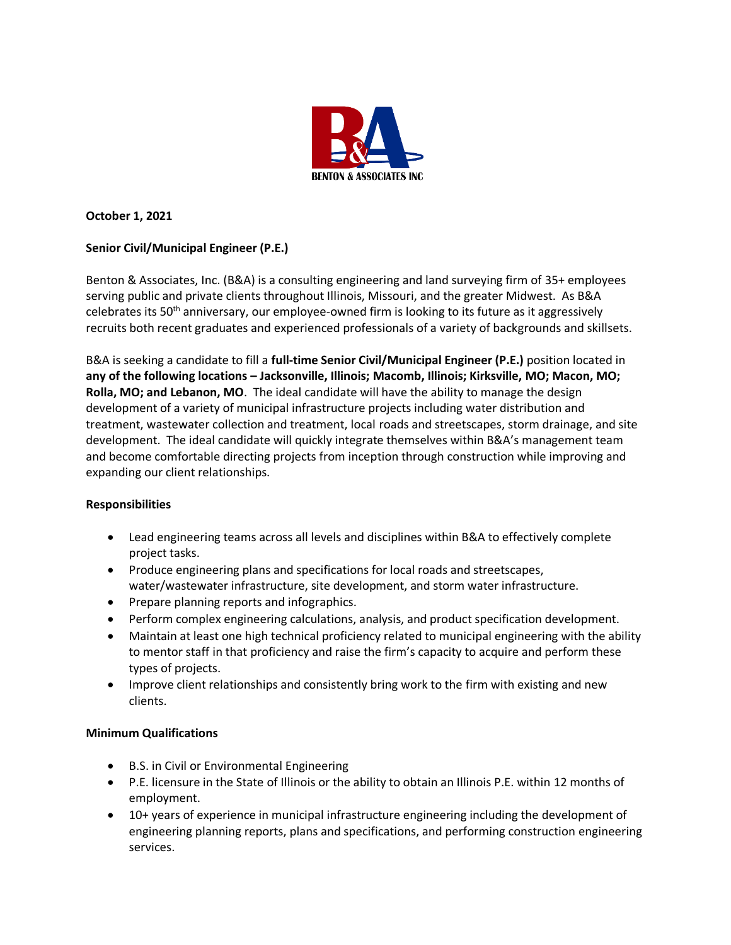

## **October 1, 2021**

# **Senior Civil/Municipal Engineer (P.E.)**

Benton & Associates, Inc. (B&A) is a consulting engineering and land surveying firm of 35+ employees serving public and private clients throughout Illinois, Missouri, and the greater Midwest. As B&A celebrates its 50<sup>th</sup> anniversary, our employee-owned firm is looking to its future as it aggressively recruits both recent graduates and experienced professionals of a variety of backgrounds and skillsets.

B&A is seeking a candidate to fill a **full-time Senior Civil/Municipal Engineer (P.E.)** position located in **any of the following locations – Jacksonville, Illinois; Macomb, Illinois; Kirksville, MO; Macon, MO; Rolla, MO; and Lebanon, MO**. The ideal candidate will have the ability to manage the design development of a variety of municipal infrastructure projects including water distribution and treatment, wastewater collection and treatment, local roads and streetscapes, storm drainage, and site development. The ideal candidate will quickly integrate themselves within B&A's management team and become comfortable directing projects from inception through construction while improving and expanding our client relationships.

### **Responsibilities**

- Lead engineering teams across all levels and disciplines within B&A to effectively complete project tasks.
- Produce engineering plans and specifications for local roads and streetscapes, water/wastewater infrastructure, site development, and storm water infrastructure.
- Prepare planning reports and infographics.
- Perform complex engineering calculations, analysis, and product specification development.
- Maintain at least one high technical proficiency related to municipal engineering with the ability to mentor staff in that proficiency and raise the firm's capacity to acquire and perform these types of projects.
- Improve client relationships and consistently bring work to the firm with existing and new clients.

### **Minimum Qualifications**

- B.S. in Civil or Environmental Engineering
- P.E. licensure in the State of Illinois or the ability to obtain an Illinois P.E. within 12 months of employment.
- 10+ years of experience in municipal infrastructure engineering including the development of engineering planning reports, plans and specifications, and performing construction engineering services.